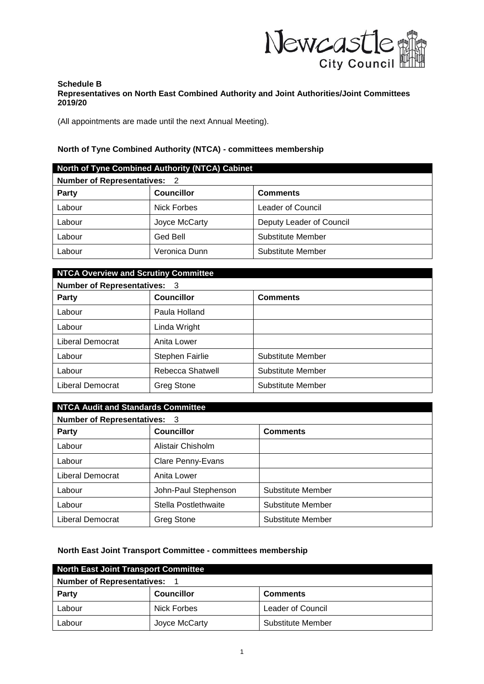

## **Schedule B Representatives on North East Combined Authority and Joint Authorities/Joint Committees 2019/20**

(All appointments are made until the next Annual Meeting).

## **North of Tyne Combined Authority (NTCA) - committees membership**

| North of Tyne Combined Authority (NTCA) Cabinet |                    |                          |
|-------------------------------------------------|--------------------|--------------------------|
| <b>Number of Representatives: 2</b>             |                    |                          |
| <b>Party</b>                                    | <b>Councillor</b>  | <b>Comments</b>          |
| Labour                                          | <b>Nick Forbes</b> | Leader of Council        |
| Labour                                          | Joyce McCarty      | Deputy Leader of Council |
| Labour                                          | Ged Bell           | Substitute Member        |
| Labour                                          | Veronica Dunn      | Substitute Member        |

| <b>NTCA Overview and Scrutiny Committee</b> |                   |                   |
|---------------------------------------------|-------------------|-------------------|
| <b>Number of Representatives: 3</b>         |                   |                   |
| <b>Party</b>                                | <b>Councillor</b> | <b>Comments</b>   |
| Labour                                      | Paula Holland     |                   |
| Labour                                      | Linda Wright      |                   |
| Liberal Democrat                            | Anita Lower       |                   |
| Labour                                      | Stephen Fairlie   | Substitute Member |
| Labour                                      | Rebecca Shatwell  | Substitute Member |
| Liberal Democrat                            | <b>Greg Stone</b> | Substitute Member |

| <b>NTCA Audit and Standards Committee</b> |                      |                   |
|-------------------------------------------|----------------------|-------------------|
| <b>Number of Representatives: 3</b>       |                      |                   |
| <b>Party</b>                              | <b>Councillor</b>    | <b>Comments</b>   |
| Labour                                    | Alistair Chisholm    |                   |
| Labour                                    | Clare Penny-Evans    |                   |
| Liberal Democrat                          | Anita Lower          |                   |
| Labour                                    | John-Paul Stephenson | Substitute Member |
| Labour                                    | Stella Postlethwaite | Substitute Member |
| Liberal Democrat                          | Greg Stone           | Substitute Member |

## **North East Joint Transport Committee - committees membership**

| North East Joint Transport Committee |                   |                          |
|--------------------------------------|-------------------|--------------------------|
| <b>Number of Representatives:</b>    |                   |                          |
| <b>Party</b>                         | <b>Councillor</b> | <b>Comments</b>          |
| Labour                               | Nick Forbes       | <b>Leader of Council</b> |
| Labour                               | Joyce McCarty     | Substitute Member        |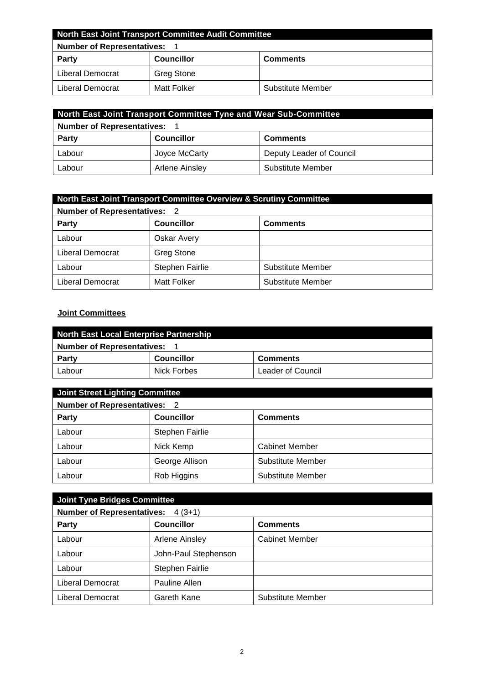| North East Joint Transport Committee Audit Committee |                   |                   |
|------------------------------------------------------|-------------------|-------------------|
| <b>Number of Representatives:</b>                    |                   |                   |
| <b>Party</b>                                         | <b>Councillor</b> | <b>Comments</b>   |
| Liberal Democrat                                     | <b>Greg Stone</b> |                   |
| Liberal Democrat                                     | Matt Folker       | Substitute Member |

| North East Joint Transport Committee Tyne and Wear Sub-Committee |                   |                          |
|------------------------------------------------------------------|-------------------|--------------------------|
| <b>Number of Representatives:</b>                                |                   |                          |
| <b>Party</b>                                                     | <b>Councillor</b> | <b>Comments</b>          |
| Labour                                                           | Joyce McCarty     | Deputy Leader of Council |
| Labour                                                           | Arlene Ainsley    | Substitute Member        |

| <b>North East Joint Transport Committee Overview &amp; Scrutiny Committee</b> |                        |                          |
|-------------------------------------------------------------------------------|------------------------|--------------------------|
| <b>Number of Representatives: 2</b>                                           |                        |                          |
| <b>Party</b>                                                                  | <b>Councillor</b>      | <b>Comments</b>          |
| Labour                                                                        | Oskar Avery            |                          |
| Liberal Democrat                                                              | <b>Greg Stone</b>      |                          |
| Labour                                                                        | <b>Stephen Fairlie</b> | <b>Substitute Member</b> |
| Liberal Democrat                                                              | Matt Folker            | Substitute Member        |

## **Joint Committees**

| North East Local Enterprise Partnership |                   |                   |
|-----------------------------------------|-------------------|-------------------|
| <b>Number of Representatives:</b>       |                   |                   |
| Party                                   | <b>Councillor</b> | <b>Comments</b>   |
| Labour                                  | Nick Forbes       | Leader of Council |

| Joint Street Lighting Committee     |                        |                       |
|-------------------------------------|------------------------|-----------------------|
| <b>Number of Representatives: 2</b> |                        |                       |
| <b>Party</b>                        | <b>Councillor</b>      | <b>Comments</b>       |
| Labour                              | <b>Stephen Fairlie</b> |                       |
| Labour                              | Nick Kemp              | <b>Cabinet Member</b> |
| Labour                              | George Allison         | Substitute Member     |
| Labour                              | Rob Higgins            | Substitute Member     |

| Joint Tyne Bridges Committee                  |                        |                          |
|-----------------------------------------------|------------------------|--------------------------|
| <b>Number of Representatives:</b><br>$4(3+1)$ |                        |                          |
| <b>Party</b>                                  | <b>Councillor</b>      | <b>Comments</b>          |
| Labour                                        | Arlene Ainsley         | <b>Cabinet Member</b>    |
| Labour                                        | John-Paul Stephenson   |                          |
| Labour                                        | <b>Stephen Fairlie</b> |                          |
| Liberal Democrat                              | Pauline Allen          |                          |
| Liberal Democrat                              | Gareth Kane            | <b>Substitute Member</b> |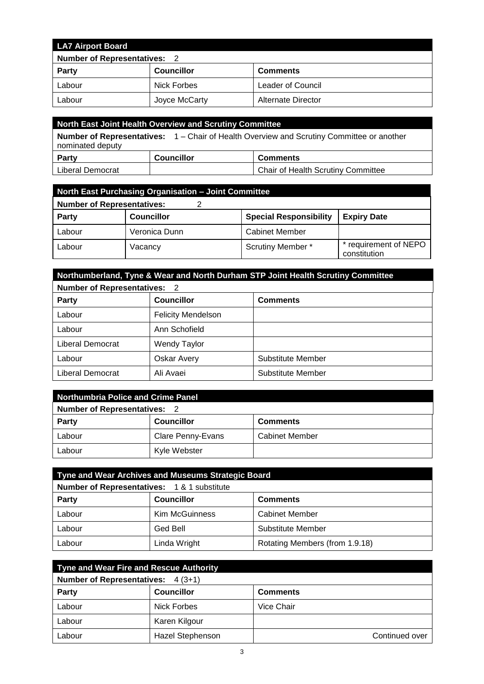| <b>LA7 Airport Board</b>            |                   |                    |
|-------------------------------------|-------------------|--------------------|
| <b>Number of Representatives: 2</b> |                   |                    |
| <b>Party</b>                        | <b>Councillor</b> | <b>Comments</b>    |
| Labour                              | Nick Forbes       | Leader of Council  |
| Labour                              | Joyce McCarty     | Alternate Director |

| North East Joint Health Overview and Scrutiny Committee                                                              |                   |                                           |
|----------------------------------------------------------------------------------------------------------------------|-------------------|-------------------------------------------|
| <b>Number of Representatives:</b> 1 – Chair of Health Overview and Scrutiny Committee or another<br>nominated deputy |                   |                                           |
| <b>Party</b>                                                                                                         | <b>Councillor</b> | <b>Comments</b>                           |
| Liberal Democrat                                                                                                     |                   | <b>Chair of Health Scrutiny Committee</b> |

| North East Purchasing Organisation - Joint Committee |                   |                               |                                     |
|------------------------------------------------------|-------------------|-------------------------------|-------------------------------------|
| <b>Number of Representatives:</b>                    |                   |                               |                                     |
| <b>Party</b>                                         | <b>Councillor</b> | <b>Special Responsibility</b> | <b>Expiry Date</b>                  |
| Labour                                               | Veronica Dunn     | <b>Cabinet Member</b>         |                                     |
| Labour                                               | Vacancv           | <b>Scrutiny Member *</b>      | requirement of NEPO<br>constitution |

| Northumberland, Tyne & Wear and North Durham STP Joint Health Scrutiny Committee |                           |                   |
|----------------------------------------------------------------------------------|---------------------------|-------------------|
| <b>Number of Representatives: 2</b>                                              |                           |                   |
| <b>Party</b>                                                                     | <b>Councillor</b>         | <b>Comments</b>   |
| Labour                                                                           | <b>Felicity Mendelson</b> |                   |
| Labour                                                                           | Ann Schofield             |                   |
| Liberal Democrat                                                                 | <b>Wendy Taylor</b>       |                   |
| Labour                                                                           | <b>Oskar Avery</b>        | Substitute Member |
| Liberal Democrat                                                                 | Ali Avaei                 | Substitute Member |

| <b>Northumbria Police and Crime Panel</b> |                          |                       |
|-------------------------------------------|--------------------------|-----------------------|
| <b>Number of Representatives: 2</b>       |                          |                       |
| <b>Party</b>                              | <b>Councillor</b>        | <b>Comments</b>       |
| Labour                                    | <b>Clare Penny-Evans</b> | <b>Cabinet Member</b> |
| Labour                                    | Kyle Webster             |                       |

| Tyne and Wear Archives and Museums Strategic Board    |                       |                                |
|-------------------------------------------------------|-----------------------|--------------------------------|
| <b>Number of Representatives: 1&amp; 1 substitute</b> |                       |                                |
| <b>Party</b>                                          | <b>Councillor</b>     | <b>Comments</b>                |
| Labour                                                | <b>Kim McGuinness</b> | <b>Cabinet Member</b>          |
| Labour                                                | Ged Bell              | <b>Substitute Member</b>       |
| Labour                                                | Linda Wright          | Rotating Members (from 1.9.18) |

| Tyne and Wear Fire and Rescue Authority |                         |                 |  |
|-----------------------------------------|-------------------------|-----------------|--|
| Number of Representatives: 4 (3+1)      |                         |                 |  |
| <b>Party</b>                            | <b>Councillor</b>       | <b>Comments</b> |  |
| Labour                                  | Nick Forbes             | Vice Chair      |  |
| Labour                                  | Karen Kilgour           |                 |  |
| Labour                                  | <b>Hazel Stephenson</b> | Continued over  |  |